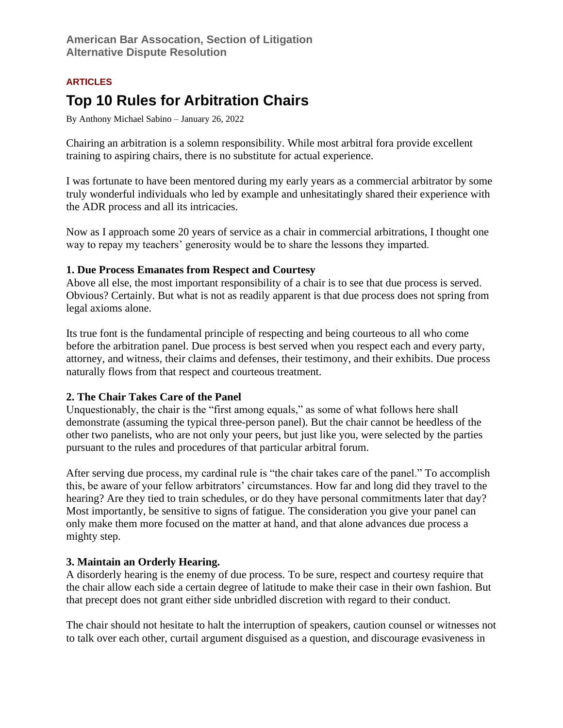### **ARTICLES**

# **Top 10 Rules for Arbitration Chairs**

By Anthony Michael Sabino – January 26, 2022

Chairing an arbitration is a solemn responsibility. While most arbitral fora provide excellent training to aspiring chairs, there is no substitute for actual experience.

I was fortunate to have been mentored during my early years as a commercial arbitrator by some truly wonderful individuals who led by example and unhesitatingly shared their experience with the ADR process and all its intricacies.

Now as I approach some 20 years of service as a chair in commercial arbitrations, I thought one way to repay my teachers' generosity would be to share the lessons they imparted.

### **1. Due Process Emanates from Respect and Courtesy**

Above all else, the most important responsibility of a chair is to see that due process is served. Obvious? Certainly. But what is not as readily apparent is that due process does not spring from legal axioms alone.

Its true font is the fundamental principle of respecting and being courteous to all who come before the arbitration panel. Due process is best served when you respect each and every party, attorney, and witness, their claims and defenses, their testimony, and their exhibits. Due process naturally flows from that respect and courteous treatment.

## **2. The Chair Takes Care of the Panel**

Unquestionably, the chair is the "first among equals," as some of what follows here shall demonstrate (assuming the typical three-person panel). But the chair cannot be heedless of the other two panelists, who are not only your peers, but just like you, were selected by the parties pursuant to the rules and procedures of that particular arbitral forum.

After serving due process, my cardinal rule is "the chair takes care of the panel." To accomplish this, be aware of your fellow arbitrators' circumstances. How far and long did they travel to the hearing? Are they tied to train schedules, or do they have personal commitments later that day? Most importantly, be sensitive to signs of fatigue. The consideration you give your panel can only make them more focused on the matter at hand, and that alone advances due process a mighty step.

## **3. Maintain an Orderly Hearing.**

A disorderly hearing is the enemy of due process. To be sure, respect and courtesy require that the chair allow each side a certain degree of latitude to make their case in their own fashion. But that precept does not grant either side unbridled discretion with regard to their conduct.

The chair should not hesitate to halt the interruption of speakers, caution counsel or witnesses not to talk over each other, curtail argument disguised as a question, and discourage evasiveness in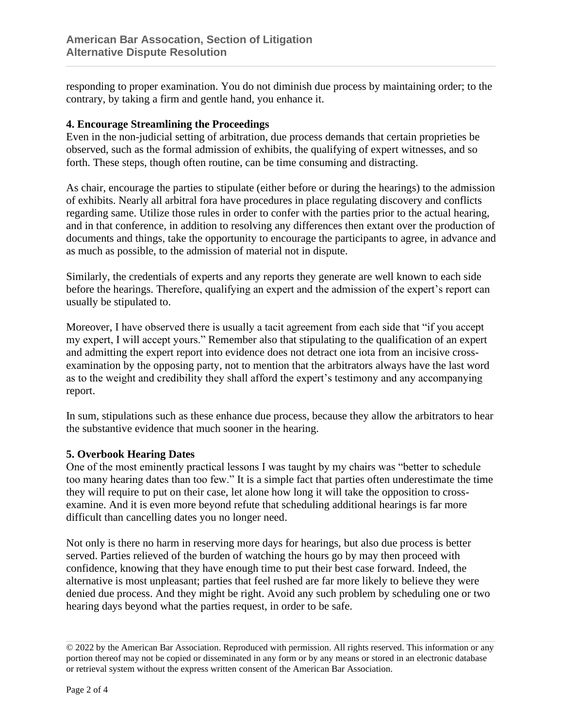responding to proper examination. You do not diminish due process by maintaining order; to the contrary, by taking a firm and gentle hand, you enhance it.

#### **4. Encourage Streamlining the Proceedings**

Even in the non-judicial setting of arbitration, due process demands that certain proprieties be observed, such as the formal admission of exhibits, the qualifying of expert witnesses, and so forth. These steps, though often routine, can be time consuming and distracting.

As chair, encourage the parties to stipulate (either before or during the hearings) to the admission of exhibits. Nearly all arbitral fora have procedures in place regulating discovery and conflicts regarding same. Utilize those rules in order to confer with the parties prior to the actual hearing, and in that conference, in addition to resolving any differences then extant over the production of documents and things, take the opportunity to encourage the participants to agree, in advance and as much as possible, to the admission of material not in dispute.

Similarly, the credentials of experts and any reports they generate are well known to each side before the hearings. Therefore, qualifying an expert and the admission of the expert's report can usually be stipulated to.

Moreover, I have observed there is usually a tacit agreement from each side that "if you accept my expert, I will accept yours." Remember also that stipulating to the qualification of an expert and admitting the expert report into evidence does not detract one iota from an incisive crossexamination by the opposing party, not to mention that the arbitrators always have the last word as to the weight and credibility they shall afford the expert's testimony and any accompanying report.

In sum, stipulations such as these enhance due process, because they allow the arbitrators to hear the substantive evidence that much sooner in the hearing.

### **5. Overbook Hearing Dates**

One of the most eminently practical lessons I was taught by my chairs was "better to schedule too many hearing dates than too few." It is a simple fact that parties often underestimate the time they will require to put on their case, let alone how long it will take the opposition to crossexamine. And it is even more beyond refute that scheduling additional hearings is far more difficult than cancelling dates you no longer need.

Not only is there no harm in reserving more days for hearings, but also due process is better served. Parties relieved of the burden of watching the hours go by may then proceed with confidence, knowing that they have enough time to put their best case forward. Indeed, the alternative is most unpleasant; parties that feel rushed are far more likely to believe they were denied due process. And they might be right. Avoid any such problem by scheduling one or two hearing days beyond what the parties request, in order to be safe.

<sup>© 2022</sup> by the American Bar Association. Reproduced with permission. All rights reserved. This information or any portion thereof may not be copied or disseminated in any form or by any means or stored in an electronic database or retrieval system without the express written consent of the American Bar Association.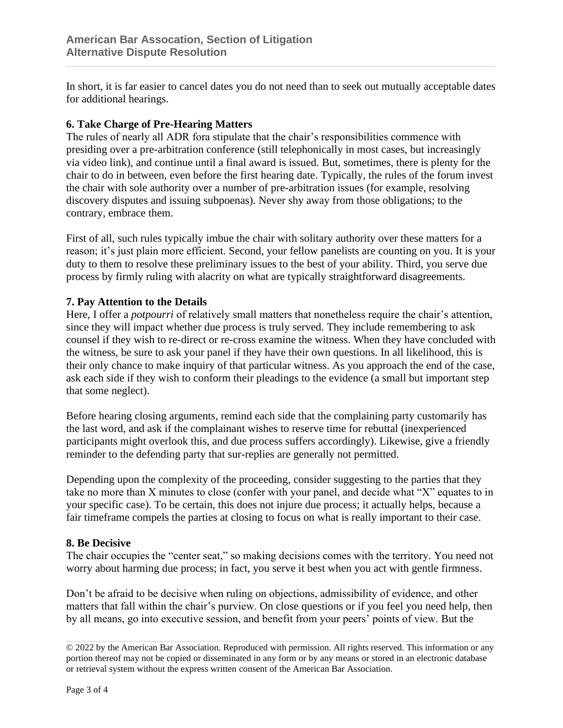In short, it is far easier to cancel dates you do not need than to seek out mutually acceptable dates for additional hearings.

### **6. Take Charge of Pre-Hearing Matters**

The rules of nearly all ADR fora stipulate that the chair's responsibilities commence with presiding over a pre-arbitration conference (still telephonically in most cases, but increasingly via video link), and continue until a final award is issued. But, sometimes, there is plenty for the chair to do in between, even before the first hearing date. Typically, the rules of the forum invest the chair with sole authority over a number of pre-arbitration issues (for example, resolving discovery disputes and issuing subpoenas). Never shy away from those obligations; to the contrary, embrace them.

First of all, such rules typically imbue the chair with solitary authority over these matters for a reason; it's just plain more efficient. Second, your fellow panelists are counting on you. It is your duty to them to resolve these preliminary issues to the best of your ability. Third, you serve due process by firmly ruling with alacrity on what are typically straightforward disagreements.

### **7. Pay Attention to the Details**

Here, I offer a *potpourri* of relatively small matters that nonetheless require the chair's attention, since they will impact whether due process is truly served. They include remembering to ask counsel if they wish to re-direct or re-cross examine the witness. When they have concluded with the witness, be sure to ask your panel if they have their own questions. In all likelihood, this is their only chance to make inquiry of that particular witness. As you approach the end of the case, ask each side if they wish to conform their pleadings to the evidence (a small but important step that some neglect).

Before hearing closing arguments, remind each side that the complaining party customarily has the last word, and ask if the complainant wishes to reserve time for rebuttal (inexperienced participants might overlook this, and due process suffers accordingly). Likewise, give a friendly reminder to the defending party that sur-replies are generally not permitted.

Depending upon the complexity of the proceeding, consider suggesting to the parties that they take no more than X minutes to close (confer with your panel, and decide what "X" equates to in your specific case). To be certain, this does not injure due process; it actually helps, because a fair timeframe compels the parties at closing to focus on what is really important to their case.

### **8. Be Decisive**

The chair occupies the "center seat," so making decisions comes with the territory. You need not worry about harming due process; in fact, you serve it best when you act with gentle firmness.

Don't be afraid to be decisive when ruling on objections, admissibility of evidence, and other matters that fall within the chair's purview. On close questions or if you feel you need help, then by all means, go into executive session, and benefit from your peers' points of view. But the

<sup>© 2022</sup> by the American Bar Association. Reproduced with permission. All rights reserved. This information or any portion thereof may not be copied or disseminated in any form or by any means or stored in an electronic database or retrieval system without the express written consent of the American Bar Association.